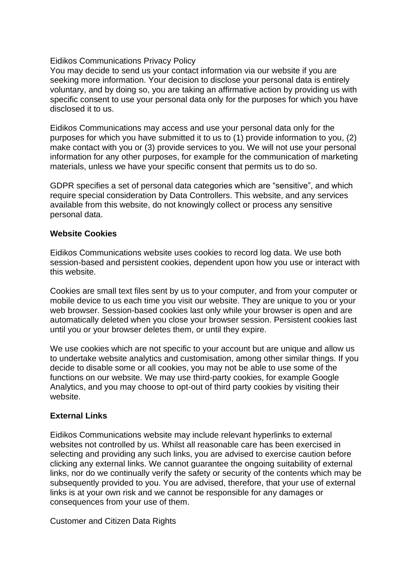## Eidikos Communications Privacy Policy

You may decide to send us your contact information via our website if you are seeking more information. Your decision to disclose your personal data is entirely voluntary, and by doing so, you are taking an affirmative action by providing us with specific consent to use your personal data only for the purposes for which you have disclosed it to us.

Eidikos Communications may access and use your personal data only for the purposes for which you have submitted it to us to (1) provide information to you, (2) make contact with you or (3) provide services to you. We will not use your personal information for any other purposes, for example for the communication of marketing materials, unless we have your specific consent that permits us to do so.

GDPR specifies a set of personal data categories which are "sensitive", and which require special consideration by Data Controllers. This website, and any services available from this website, do not knowingly collect or process any sensitive personal data.

## **Website Cookies**

Eidikos Communications website uses cookies to record log data. We use both session-based and persistent cookies, dependent upon how you use or interact with this website.

Cookies are small text files sent by us to your computer, and from your computer or mobile device to us each time you visit our website. They are unique to you or your web browser. Session-based cookies last only while your browser is open and are automatically deleted when you close your browser session. Persistent cookies last until you or your browser deletes them, or until they expire.

We use cookies which are not specific to your account but are unique and allow us to undertake website analytics and customisation, among other similar things. If you decide to disable some or all cookies, you may not be able to use some of the functions on our website. We may use third-party cookies, for example Google Analytics, and you may choose to opt-out of third party cookies by visiting their website.

## **External Links**

Eidikos Communications website may include relevant hyperlinks to external websites not controlled by us. Whilst all reasonable care has been exercised in selecting and providing any such links, you are advised to exercise caution before clicking any external links. We cannot guarantee the ongoing suitability of external links, nor do we continually verify the safety or security of the contents which may be subsequently provided to you. You are advised, therefore, that your use of external links is at your own risk and we cannot be responsible for any damages or consequences from your use of them.

Customer and Citizen Data Rights